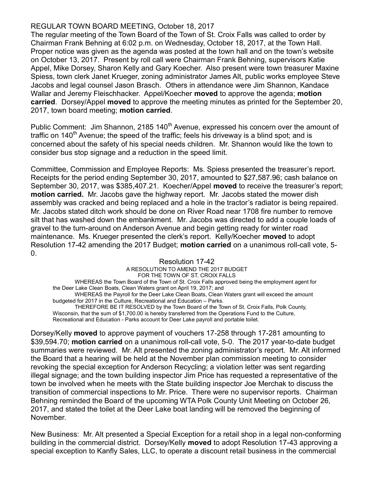# REGULAR TOWN BOARD MEETING, October 18, 2017

The regular meeting of the Town Board of the Town of St. Croix Falls was called to order by Chairman Frank Behning at 6:02 p.m. on Wednesday, October 18, 2017, at the Town Hall. Proper notice was given as the agenda was posted at the town hall and on the town's website on October 13, 2017. Present by roll call were Chairman Frank Behning, supervisors Katie Appel, Mike Dorsey, Sharon Kelly and Gary Koecher. Also present were town treasurer Maxine Spiess, town clerk Janet Krueger, zoning administrator James Alt, public works employee Steve Jacobs and legal counsel Jason Brasch. Others in attendance were Jim Shannon, Kandace Wallar and Jeremy Fleischhacker. Appel/Koecher **moved** to approve the agenda; **motion** carried. Dorsey/Appel moved to approve the meeting minutes as printed for the September 20, 2017, town board meeting; motion carried.

Public Comment: Jim Shannon, 2185 140<sup>th</sup> Avenue, expressed his concern over the amount of traffic on 140<sup>th</sup> Avenue; the speed of the traffic; feels his driveway is a blind spot; and is concerned about the safety of his special needs children. Mr. Shannon would like the town to consider bus stop signage and a reduction in the speed limit.

Committee, Commission and Employee Reports: Ms. Spiess presented the treasurer's report. Receipts for the period ending September 30, 2017, amounted to \$27,587.96; cash balance on September 30, 2017, was \$385,407.21. Koecher/Appel **moved** to receive the treasurer's report; motion carried. Mr. Jacobs gave the highway report. Mr. Jacobs stated the mower dish assembly was cracked and being replaced and a hole in the tractor's radiator is being repaired. Mr. Jacobs stated ditch work should be done on River Road near 1708 fire number to remove silt that has washed down the embankment. Mr. Jacobs was directed to add a couple loads of gravel to the turn-around on Anderson Avenue and begin getting ready for winter road maintenance. Ms. Krueger presented the clerk's report. Kelly/Koecher moved to adopt Resolution 17-42 amending the 2017 Budget; motion carried on a unanimous roll-call vote, 5- 0.

## Resolution 17-42

A RESOLUTION TO AMEND THE 2017 BUDGET FOR THE TOWN OF ST. CROIX FALLS WHEREAS the Town Board of the Town of St. Croix Falls approved being the employment agent for the Deer Lake Clean Boats, Clean Waters grant on April 19, 2017; and WHEREAS the Payroll for the Deer Lake Clean Boats, Clean Waters grant will exceed the amount budgeted for 2017 in the Culture, Recreational and Education – Parks. THEREFORE BE IT RESOLVED by the Town Board of the Town of St. Croix Falls, Polk County, Wisconsin, that the sum of \$1,700.00 is hereby transferred from the Operations Fund to the Culture, Recreational and Education - Parks account for Deer Lake payroll and portable toilet.

Dorsey/Kelly moved to approve payment of vouchers 17-258 through 17-281 amounting to \$39,594.70; motion carried on a unanimous roll-call vote, 5-0. The 2017 year-to-date budget summaries were reviewed. Mr. Alt presented the zoning administrator's report. Mr. Alt informed the Board that a hearing will be held at the November plan commission meeting to consider revoking the special exception for Anderson Recycling; a violation letter was sent regarding illegal signage; and the town building inspector Jim Price has requested a representative of the town be involved when he meets with the State building inspector Joe Merchak to discuss the transition of commercial inspections to Mr. Price. There were no supervisor reports. Chairman Behning reminded the Board of the upcoming WTA Polk County Unit Meeting on October 26, 2017, and stated the toilet at the Deer Lake boat landing will be removed the beginning of November.

New Business: Mr. Alt presented a Special Exception for a retail shop in a legal non-conforming building in the commercial district. Dorsey/Kelly moved to adopt Resolution 17-43 approving a special exception to Kanfly Sales, LLC, to operate a discount retail business in the commercial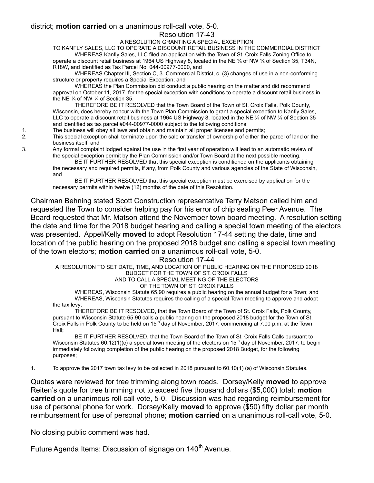### district; motion carried on a unanimous roll-call vote, 5-0.

Resolution 17-43

#### A RESOLUTION GRANTING A SPECIAL EXCEPTION

TO KANFLY SALES, LLC TO OPERATE A DISCOUNT RETAIL BUSINESS IN THE COMMERCIAL DISTRICT

WHEREAS Kanfly Sales, LLC filed an application with the Town of St. Croix Falls Zoning Office to operate a discount retail business at 1964 US Highway 8, located in the NE ¼ of NW ¼ of Section 35, T34N, R18W, and identified as Tax Parcel No. 044-00977-0000, and

WHEREAS Chapter III, Section C, 3. Commercial District, c. (3) changes of use in a non-conforming structure or property requires a Special Exception; and

WHEREAS the Plan Commission did conduct a public hearing on the matter and did recommend approval on October 11, 2017, for the special exception with conditions to operate a discount retail business in the NE ¼ of NW ¼ of Section 35.

THEREFORE BE IT RESOLVED that the Town Board of the Town of St. Croix Falls, Polk County, Wisconsin, does hereby concur with the Town Plan Commission to grant a special exception to Kanfly Sales, LLC to operate a discount retail business at 1964 US Highway 8, located in the NE 1/4 of NW 1/4 of Section 35 and identified as tax parcel #044-00977-0000 subject to the following conditions:

1. The business will obey all laws and obtain and maintain all proper licenses and permits;

2. This special exception shall terminate upon the sale or transfer of ownership of either the parcel of land or the business itself; and

3. Any formal complaint lodged against the use in the first year of operation will lead to an automatic review of the special exception permit by the Plan Commission and/or Town Board at the next possible meeting.

 BE IT FURTHER RESOLVED that this special exception is conditioned on the applicants obtaining the necessary and required permits, if any, from Polk County and various agencies of the State of Wisconsin, and

 BE IT FURTHER RESOLVED that this special exception must be exercised by application for the necessary permits within twelve (12) months of the date of this Resolution.

Chairman Behning stated Scott Construction representative Terry Matson called him and requested the Town to consider helping pay for his error of chip sealing Peer Avenue. The Board requested that Mr. Matson attend the November town board meeting. A resolution setting the date and time for the 2018 budget hearing and calling a special town meeting of the electors was presented. Appel/Kelly moved to adopt Resolution 17-44 setting the date, time and location of the public hearing on the proposed 2018 budget and calling a special town meeting of the town electors; motion carried on a unanimous roll-call vote, 5-0.

#### Resolution 17-44

A RESOLUTION TO SET DATE, TIME, AND LOCATION OF PUBLIC HEARING ON THE PROPOSED 2018 BUDGET FOR THE TOWN OF ST. CROIX FALLS

AND TO CALL A SPECIAL MEETING OF THE ELECTORS

### OF THE TOWN OF ST. CROIX FALLS

WHEREAS, Wisconsin Statute 65.90 requires a public hearing on the annual budget for a Town; and WHEREAS, Wisconsin Statutes requires the calling of a special Town meeting to approve and adopt the tax levy;

THEREFORE BE IT RESOLVED, that the Town Board of the Town of St. Croix Falls, Polk County, pursuant to Wisconsin Statute 65.90 calls a public hearing on the proposed 2018 budget for the Town of St. Croix Falls in Polk County to be held on  $15<sup>th</sup>$  day of November, 2017, commencing at 7:00 p.m. at the Town Hall;

BE IT FURTHER RESOLVED, that the Town Board of the Town of St. Croix Falls Calls pursuant to Wisconsin Statutes 60.12(1)(c) a special town meeting of the electors on 15<sup>th</sup> day of November, 2017, to begin immediately following completion of the public hearing on the proposed 2018 Budget, for the following purposes;

1. To approve the 2017 town tax levy to be collected in 2018 pursuant to 60.10(1) (a) of Wisconsin Statutes.

Quotes were reviewed for tree trimming along town roads. Dorsey/Kelly moved to approve Reiten's quote for tree trimming not to exceed five thousand dollars (\$5,000) total; motion carried on a unanimous roll-call vote, 5-0. Discussion was had regarding reimbursement for use of personal phone for work. Dorsey/Kelly moved to approve (\$50) fifty dollar per month reimbursement for use of personal phone; motion carried on a unanimous roll-call vote, 5-0.

No closing public comment was had.

Future Agenda Items: Discussion of signage on 140<sup>th</sup> Avenue.